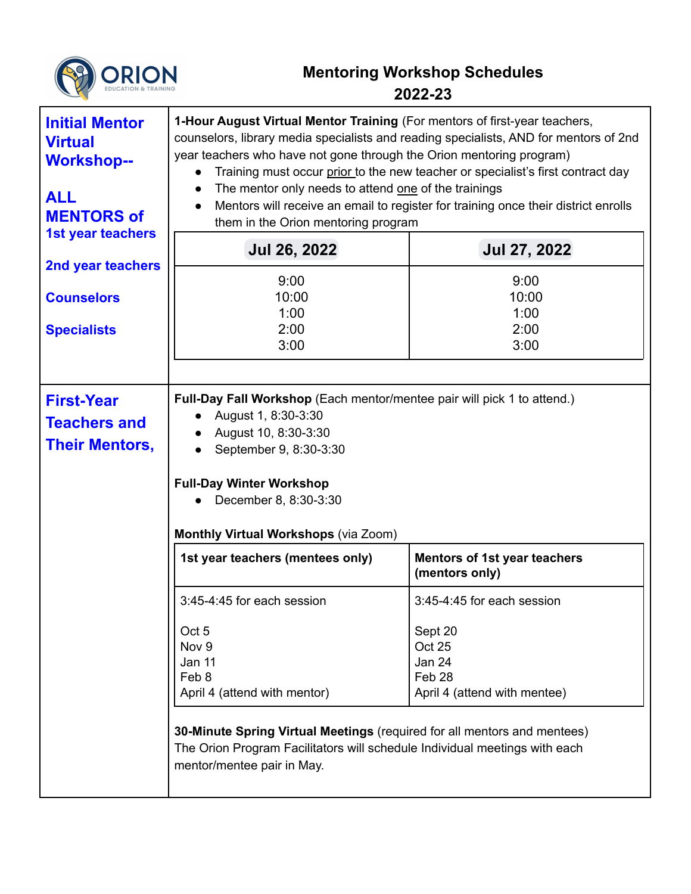

## **Mentoring Workshop Schedules 2022-23**

| <b>Initial Mentor</b><br><b>Virtual</b><br><b>Workshop--</b><br><b>ALL</b><br><b>MENTORS of</b> | 1-Hour August Virtual Mentor Training (For mentors of first-year teachers,<br>counselors, library media specialists and reading specialists, AND for mentors of 2nd<br>year teachers who have not gone through the Orion mentoring program)<br>Training must occur prior to the new teacher or specialist's first contract day<br>The mentor only needs to attend one of the trainings<br>Mentors will receive an email to register for training once their district enrolls<br>them in the Orion mentoring program |                                                                       |  |
|-------------------------------------------------------------------------------------------------|---------------------------------------------------------------------------------------------------------------------------------------------------------------------------------------------------------------------------------------------------------------------------------------------------------------------------------------------------------------------------------------------------------------------------------------------------------------------------------------------------------------------|-----------------------------------------------------------------------|--|
| <b>1st year teachers</b>                                                                        | <b>Jul 26, 2022</b>                                                                                                                                                                                                                                                                                                                                                                                                                                                                                                 | <b>Jul 27, 2022</b>                                                   |  |
| 2nd year teachers                                                                               | 9:00                                                                                                                                                                                                                                                                                                                                                                                                                                                                                                                | 9:00                                                                  |  |
| <b>Counselors</b>                                                                               | 10:00<br>1:00                                                                                                                                                                                                                                                                                                                                                                                                                                                                                                       | 10:00<br>1:00                                                         |  |
| <b>Specialists</b>                                                                              | 2:00                                                                                                                                                                                                                                                                                                                                                                                                                                                                                                                | 2:00                                                                  |  |
|                                                                                                 | 3:00                                                                                                                                                                                                                                                                                                                                                                                                                                                                                                                | 3:00                                                                  |  |
| <b>First-Year</b><br><b>Teachers and</b><br><b>Their Mentors,</b>                               | Full-Day Fall Workshop (Each mentor/mentee pair will pick 1 to attend.)<br>August 1, 8:30-3:30<br>August 10, 8:30-3:30<br>September 9, 8:30-3:30<br><b>Full-Day Winter Workshop</b><br>December 8, 8:30-3:30<br><b>Monthly Virtual Workshops (via Zoom)</b>                                                                                                                                                                                                                                                         |                                                                       |  |
|                                                                                                 | 1st year teachers (mentees only)                                                                                                                                                                                                                                                                                                                                                                                                                                                                                    | <b>Mentors of 1st year teachers</b><br>(mentors only)                 |  |
|                                                                                                 | 3:45-4:45 for each session                                                                                                                                                                                                                                                                                                                                                                                                                                                                                          | 3:45-4:45 for each session                                            |  |
|                                                                                                 | Oct 5<br>Nov <sub>9</sub><br>Jan 11<br>Feb 8<br>April 4 (attend with mentor)<br>30-Minute Spring Virtual Meetings (required for all mentors and mentees)<br>The Orion Program Facilitators will schedule Individual meetings with each                                                                                                                                                                                                                                                                              | Sept 20<br>Oct 25<br>Jan 24<br>Feb 28<br>April 4 (attend with mentee) |  |
|                                                                                                 | mentor/mentee pair in May.                                                                                                                                                                                                                                                                                                                                                                                                                                                                                          |                                                                       |  |